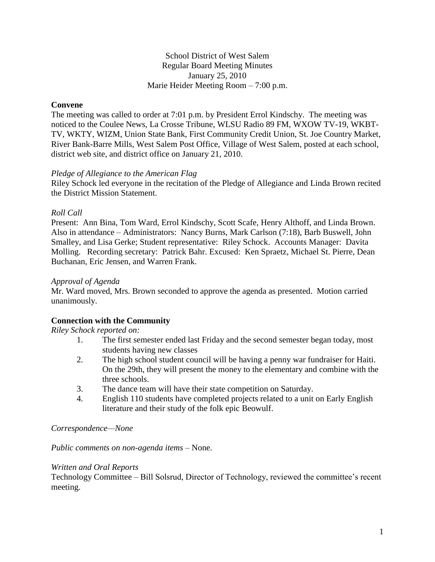School District of West Salem Regular Board Meeting Minutes January 25, 2010 Marie Heider Meeting Room – 7:00 p.m.

# **Convene**

The meeting was called to order at 7:01 p.m. by President Errol Kindschy. The meeting was noticed to the Coulee News, La Crosse Tribune, WLSU Radio 89 FM, WXOW TV-19, WKBT-TV, WKTY, WIZM, Union State Bank, First Community Credit Union, St. Joe Country Market, River Bank-Barre Mills, West Salem Post Office, Village of West Salem, posted at each school, district web site, and district office on January 21, 2010.

### *Pledge of Allegiance to the American Flag*

Riley Schock led everyone in the recitation of the Pledge of Allegiance and Linda Brown recited the District Mission Statement.

### *Roll Call*

Present: Ann Bina, Tom Ward, Errol Kindschy, Scott Scafe, Henry Althoff, and Linda Brown. Also in attendance – Administrators: Nancy Burns, Mark Carlson (7:18), Barb Buswell, John Smalley, and Lisa Gerke; Student representative: Riley Schock. Accounts Manager: Davita Molling. Recording secretary: Patrick Bahr. Excused: Ken Spraetz, Michael St. Pierre, Dean Buchanan, Eric Jensen, and Warren Frank.

### *Approval of Agenda*

Mr. Ward moved, Mrs. Brown seconded to approve the agenda as presented. Motion carried unanimously.

### **Connection with the Community**

#### *Riley Schock reported on:*

- 1. The first semester ended last Friday and the second semester began today, most students having new classes
- 2. The high school student council will be having a penny war fundraiser for Haiti. On the 29th, they will present the money to the elementary and combine with the three schools.
- 3. The dance team will have their state competition on Saturday.
- 4. English 110 students have completed projects related to a unit on Early English literature and their study of the folk epic Beowulf.

#### *Correspondence—None*

#### *Public comments on non-agenda items –* None.

#### *Written and Oral Reports*

Technology Committee – Bill Solsrud, Director of Technology, reviewed the committee's recent meeting.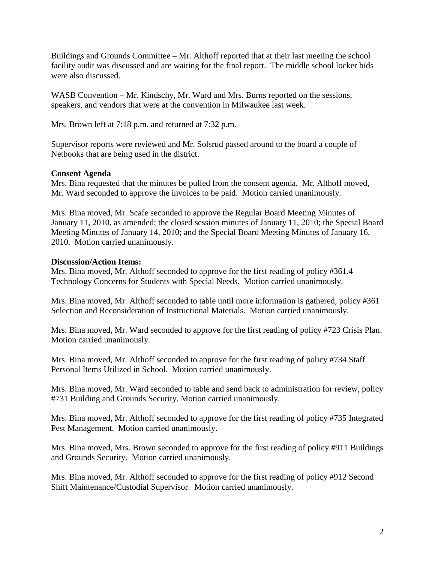Buildings and Grounds Committee – Mr. Althoff reported that at their last meeting the school facility audit was discussed and are waiting for the final report. The middle school locker bids were also discussed.

WASB Convention – Mr. Kindschy, Mr. Ward and Mrs. Burns reported on the sessions, speakers, and vendors that were at the convention in Milwaukee last week.

Mrs. Brown left at 7:18 p.m. and returned at 7:32 p.m.

Supervisor reports were reviewed and Mr. Solsrud passed around to the board a couple of Netbooks that are being used in the district.

# **Consent Agenda**

Mrs. Bina requested that the minutes be pulled from the consent agenda. Mr. Althoff moved, Mr. Ward seconded to approve the invoices to be paid. Motion carried unanimously.

Mrs. Bina moved, Mr. Scafe seconded to approve the Regular Board Meeting Minutes of January 11, 2010, as amended; the closed session minutes of January 11, 2010; the Special Board Meeting Minutes of January 14, 2010; and the Special Board Meeting Minutes of January 16, 2010. Motion carried unanimously.

# **Discussion/Action Items:**

Mrs. Bina moved, Mr. Althoff seconded to approve for the first reading of policy #361.4 Technology Concerns for Students with Special Needs. Motion carried unanimously.

Mrs. Bina moved, Mr. Althoff seconded to table until more information is gathered, policy #361 Selection and Reconsideration of Instructional Materials. Motion carried unanimously.

Mrs. Bina moved, Mr. Ward seconded to approve for the first reading of policy #723 Crisis Plan. Motion carried unanimously.

Mrs. Bina moved, Mr. Althoff seconded to approve for the first reading of policy #734 Staff Personal Items Utilized in School. Motion carried unanimously.

Mrs. Bina moved, Mr. Ward seconded to table and send back to administration for review, policy #731 Building and Grounds Security. Motion carried unanimously.

Mrs. Bina moved, Mr. Althoff seconded to approve for the first reading of policy #735 Integrated Pest Management. Motion carried unanimously.

Mrs. Bina moved, Mrs. Brown seconded to approve for the first reading of policy #911 Buildings and Grounds Security. Motion carried unanimously.

Mrs. Bina moved, Mr. Althoff seconded to approve for the first reading of policy #912 Second Shift Maintenance/Custodial Supervisor. Motion carried unanimously.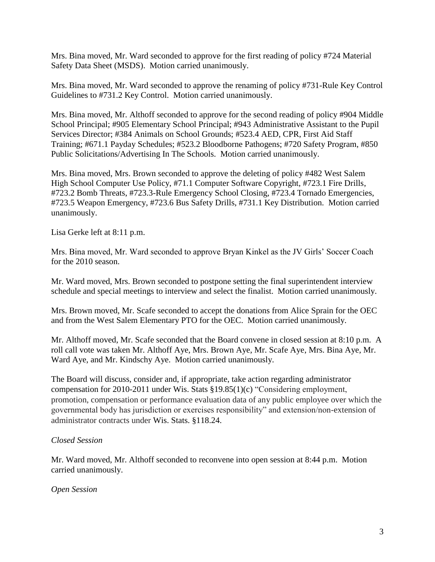Mrs. Bina moved, Mr. Ward seconded to approve for the first reading of policy #724 Material Safety Data Sheet (MSDS). Motion carried unanimously.

Mrs. Bina moved, Mr. Ward seconded to approve the renaming of policy #731-Rule Key Control Guidelines to #731.2 Key Control. Motion carried unanimously.

Mrs. Bina moved, Mr. Althoff seconded to approve for the second reading of policy #904 Middle School Principal; #905 Elementary School Principal; #943 Administrative Assistant to the Pupil Services Director; #384 Animals on School Grounds; #523.4 AED, CPR, First Aid Staff Training; #671.1 Payday Schedules; #523.2 Bloodborne Pathogens; #720 Safety Program, #850 Public Solicitations/Advertising In The Schools. Motion carried unanimously.

Mrs. Bina moved, Mrs. Brown seconded to approve the deleting of policy #482 West Salem High School Computer Use Policy, #71.1 Computer Software Copyright, #723.1 Fire Drills, #723.2 Bomb Threats, #723.3-Rule Emergency School Closing, #723.4 Tornado Emergencies, #723.5 Weapon Emergency, #723.6 Bus Safety Drills, #731.1 Key Distribution. Motion carried unanimously.

Lisa Gerke left at 8:11 p.m.

Mrs. Bina moved, Mr. Ward seconded to approve Bryan Kinkel as the JV Girls' Soccer Coach for the 2010 season.

Mr. Ward moved, Mrs. Brown seconded to postpone setting the final superintendent interview schedule and special meetings to interview and select the finalist. Motion carried unanimously.

Mrs. Brown moved, Mr. Scafe seconded to accept the donations from Alice Sprain for the OEC and from the West Salem Elementary PTO for the OEC. Motion carried unanimously.

Mr. Althoff moved, Mr. Scafe seconded that the Board convene in closed session at 8:10 p.m. A roll call vote was taken Mr. Althoff Aye, Mrs. Brown Aye, Mr. Scafe Aye, Mrs. Bina Aye, Mr. Ward Aye, and Mr. Kindschy Aye. Motion carried unanimously.

The Board will discuss, consider and, if appropriate, take action regarding administrator compensation for 2010-2011 under Wis. Stats §19.85(1)(c) "Considering employment, promotion, compensation or performance evaluation data of any public employee over which the governmental body has jurisdiction or exercises responsibility" and extension/non-extension of administrator contracts under Wis. Stats. §118.24.

# *Closed Session*

Mr. Ward moved, Mr. Althoff seconded to reconvene into open session at 8:44 p.m. Motion carried unanimously.

### *Open Session*